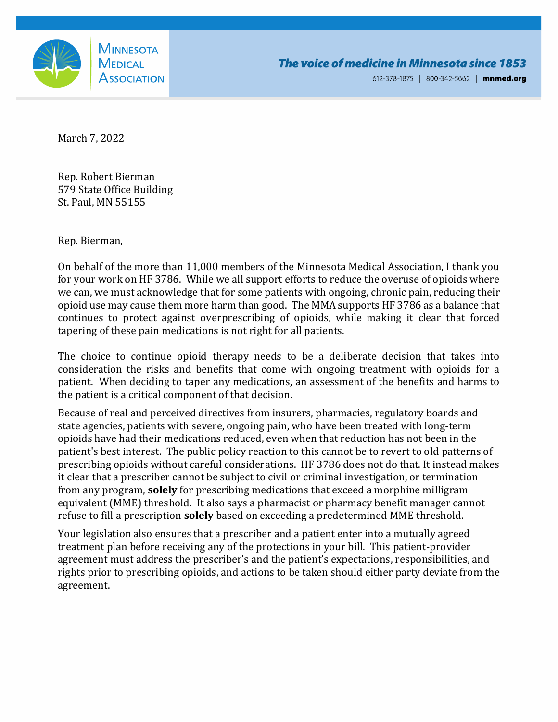

612-378-1875 | 800-342-5662 | mnmed.org

March 7, 2022

Rep. Robert Bierman 579 State Office Building St. Paul, MN 55155

Rep. Bierman,

On behalf of the more than 11,000 members of the Minnesota Medical Association, I thank you for your work on HF 3786. While we all support efforts to reduce the overuse of opioids where we can, we must acknowledge that for some patients with ongoing, chronic pain, reducing their opioid use may cause them more harm than good. The MMA supports HF 3786 as a balance that continues to protect against overprescribing of opioids, while making it clear that forced tapering of these pain medications is not right for all patients.

The choice to continue opioid therapy needs to be a deliberate decision that takes into consideration the risks and benefits that come with ongoing treatment with opioids for a patient. When deciding to taper any medications, an assessment of the benefits and harms to the patient is a critical component of that decision.

Because of real and perceived directives from insurers, pharmacies, regulatory boards and state agencies, patients with severe, ongoing pain, who have been treated with long-term opioids have had their medications reduced, even when that reduction has not been in the patient's best interest. The public policy reaction to this cannot be to revert to old patterns of prescribing opioids without careful considerations. HF 3786 does not do that. It instead makes it clear that a prescriber cannot be subject to civil or criminal investigation, or termination from any program, **solely** for prescribing medications that exceed a morphine milligram equivalent (MME) threshold. It also says a pharmacist or pharmacy benefit manager cannot refuse to fill a prescription **solely** based on exceeding a predetermined MME threshold.

Your legislation also ensures that a prescriber and a patient enter into a mutually agreed treatment plan before receiving any of the protections in your bill. This patient-provider agreement must address the prescriber's and the patient's expectations, responsibilities, and rights prior to prescribing opioids, and actions to be taken should either party deviate from the agreement.